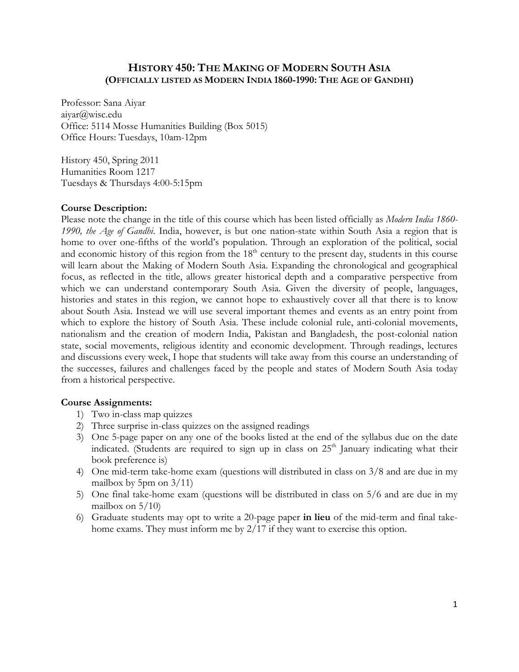# **HISTORY 450: THE MAKING OF MODERN SOUTH ASIA (OFFICIALLY LISTED AS MODERN INDIA 1860-1990: THE AGE OF GANDHI)**

Professor: Sana Aiyar aiyar@wisc.edu Office: 5114 Mosse Humanities Building (Box 5015) Office Hours: Tuesdays, 10am-12pm

History 450, Spring 2011 Humanities Room 1217 Tuesdays & Thursdays 4:00-5:15pm

## **Course Description:**

Please note the change in the title of this course which has been listed officially as *Modern India 1860- 1990, the Age of Gandhi*. India, however, is but one nation-state within South Asia a region that is home to over one-fifths of the world's population. Through an exploration of the political, social and economic history of this region from the  $18<sup>th</sup>$  century to the present day, students in this course will learn about the Making of Modern South Asia. Expanding the chronological and geographical focus, as reflected in the title, allows greater historical depth and a comparative perspective from which we can understand contemporary South Asia. Given the diversity of people, languages, histories and states in this region, we cannot hope to exhaustively cover all that there is to know about South Asia. Instead we will use several important themes and events as an entry point from which to explore the history of South Asia. These include colonial rule, anti-colonial movements, nationalism and the creation of modern India, Pakistan and Bangladesh, the post-colonial nation state, social movements, religious identity and economic development. Through readings, lectures and discussions every week, I hope that students will take away from this course an understanding of the successes, failures and challenges faced by the people and states of Modern South Asia today from a historical perspective.

#### **Course Assignments:**

- 1) Two in-class map quizzes
- 2) Three surprise in-class quizzes on the assigned readings
- 3) One 5-page paper on any one of the books listed at the end of the syllabus due on the date indicated. (Students are required to sign up in class on  $25<sup>th</sup>$  January indicating what their book preference is)
- 4) One mid-term take-home exam (questions will distributed in class on 3/8 and are due in my mailbox by 5pm on  $3/11$ )
- 5) One final take-home exam (questions will be distributed in class on 5/6 and are due in my mailbox on  $5/10$
- 6) Graduate students may opt to write a 20-page paper **in lieu** of the mid-term and final takehome exams. They must inform me by 2/17 if they want to exercise this option.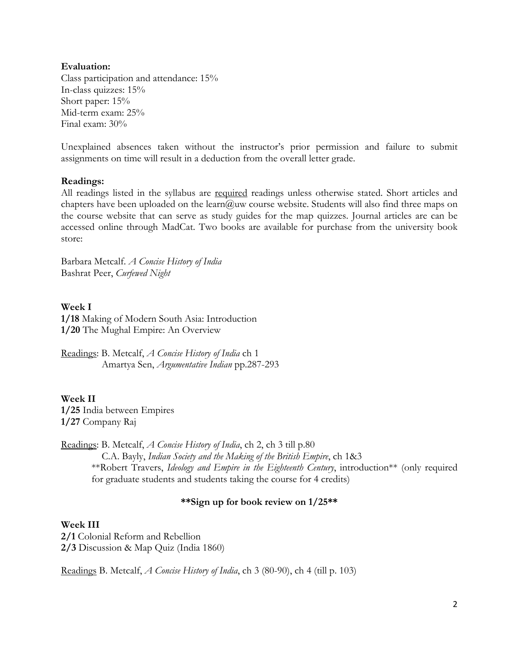#### **Evaluation:**

Class participation and attendance: 15% In-class quizzes: 15% Short paper: 15% Mid-term exam: 25% Final exam: 30%

Unexplained absences taken without the instructor's prior permission and failure to submit assignments on time will result in a deduction from the overall letter grade.

## **Readings:**

All readings listed in the syllabus are required readings unless otherwise stated. Short articles and chapters have been uploaded on the learn@uw course website. Students will also find three maps on the course website that can serve as study guides for the map quizzes. Journal articles are can be accessed online through MadCat. Two books are available for purchase from the university book store:

Barbara Metcalf. *A Concise History of India* Bashrat Peer, *Curfewed Night*

# **Week I**

**1/18** Making of Modern South Asia: Introduction **1/20** The Mughal Empire: An Overview

Readings: B. Metcalf, *A Concise History of India* ch 1 Amartya Sen, *Argumentative Indian* pp.287-293

**Week II 1/25** India between Empires **1/27** Company Raj

Readings: B. Metcalf, *A Concise History of India*, ch 2, ch 3 till p.80 C.A. Bayly, *Indian Society and the Making of the British Empire*, ch 1&3 \*\*Robert Travers, *Ideology and Empire in the Eighteenth Century*, introduction\*\* (only required for graduate students and students taking the course for 4 credits)

# **\*\*Sign up for book review on 1/25\*\***

**Week III 2/1** Colonial Reform and Rebellion **2/3** Discussion & Map Quiz (India 1860)

Readings B. Metcalf, *A Concise History of India*, ch 3 (80-90), ch 4 (till p. 103)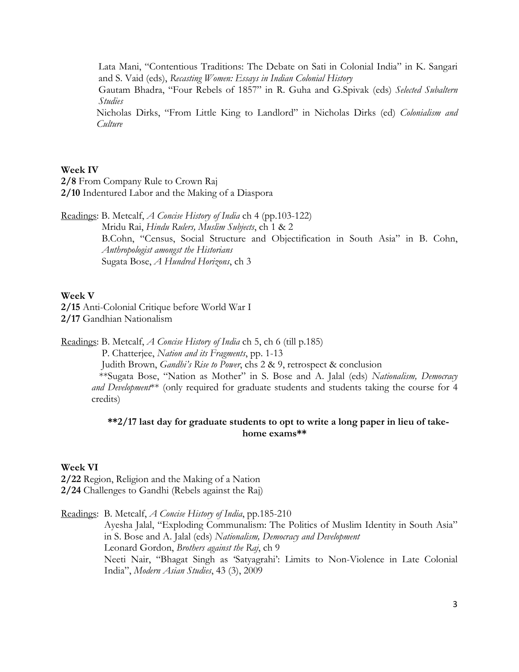Lata Mani, "Contentious Traditions: The Debate on Sati in Colonial India" in K. Sangari and S. Vaid (eds), *Recasting Women: Essays in Indian Colonial History*

Gautam Bhadra, "Four Rebels of 1857" in R. Guha and G.Spivak (eds) *Selected Subaltern Studies* 

Nicholas Dirks, "From Little King to Landlord" in Nicholas Dirks (ed) *Colonialism and Culture* 

#### **Week IV**

**2/8** From Company Rule to Crown Raj **2/10** Indentured Labor and the Making of a Diaspora

Readings: B. Metcalf, *A Concise History of India* ch 4 (pp.103-122) Mridu Rai, *Hindu Rulers, Muslim Subjects*, ch 1 & 2 B.Cohn, "Census, Social Structure and Objectification in South Asia" in B. Cohn, *Anthropologist amongst the Historians* Sugata Bose, *A Hundred Horizons*, ch 3

#### **Week V**

**2/15** Anti-Colonial Critique before World War I **2/17** Gandhian Nationalism

Readings: B. Metcalf, *A Concise History of India* ch 5, ch 6 (till p.185)

P. Chatterjee, *Nation and its Fragments*, pp. 1-13

 Judith Brown, *Gandhi's Rise to Power*, chs 2 & 9, retrospect & conclusion \*\*Sugata Bose, "Nation as Mother" in S. Bose and A. Jalal (eds) *Nationalism, Democracy and Development*\*\* (only required for graduate students and students taking the course for 4 credits)

# **\*\*2/17 last day for graduate students to opt to write a long paper in lieu of takehome exams\*\***

# **Week VI**

**2/22** Region, Religion and the Making of a Nation **2/24** Challenges to Gandhi (Rebels against the Raj)

Readings: B. Metcalf, *A Concise History of India*, pp.185-210

Ayesha Jalal, "Exploding Communalism: The Politics of Muslim Identity in South Asia" in S. Bose and A. Jalal (eds) *Nationalism, Democracy and Development* Leonard Gordon, *Brothers against the Raj*, ch 9 Neeti Nair, "Bhagat Singh as 'Satyagrahi': Limits to Non-Violence in Late Colonial India", *Modern Asian Studies*, 43 (3), 2009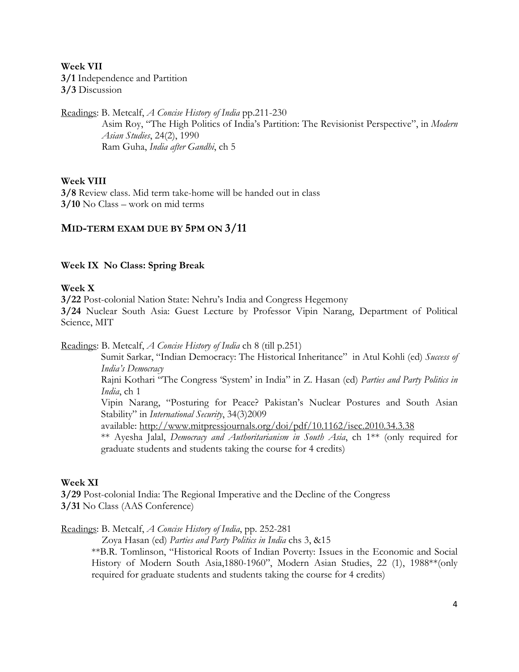**Week VII 3/1** Independence and Partition **3/3** Discussion

Readings: B. Metcalf, *A Concise History of India* pp.211-230

Asim Roy, "The High Politics of India's Partition: The Revisionist Perspective", in *Modern Asian Studies*, 24(2), 1990 Ram Guha, *India after Gandhi*, ch 5

## **Week VIII**

**3/8** Review class. Mid term take-home will be handed out in class **3/10** No Class – work on mid terms

## **MID-TERM EXAM DUE BY 5PM ON 3/11**

## **Week IX No Class: Spring Break**

#### **Week X**

**3/22** Post-colonial Nation State: Nehru's India and Congress Hegemony

**3/24** Nuclear South Asia: Guest Lecture by Professor Vipin Narang, Department of Political Science, MIT

Readings: B. Metcalf, *A Concise History of India* ch 8 (till p.251)

Sumit Sarkar, "Indian Democracy: The Historical Inheritance" in Atul Kohli (ed) *Success of India's Democracy* 

Rajni Kothari "The Congress 'System' in India" in Z. Hasan (ed) *Parties and Party Politics in India*, ch 1

Vipin Narang, "Posturing for Peace? Pakistan's Nuclear Postures and South Asian Stability" in *International Security*, 34(3)2009

available: http://www.mitpressjournals.org/doi/pdf/10.1162/isec.2010.34.3.38

\*\* Ayesha Jalal, *Democracy and Authoritarianism in South Asia*, ch 1\*\* (only required for graduate students and students taking the course for 4 credits)

#### **Week XI**

**3/29** Post-colonial India: The Regional Imperative and the Decline of the Congress **3/31** No Class (AAS Conference)

Readings: B. Metcalf, *A Concise History of India*, pp. 252-281

Zoya Hasan (ed) *Parties and Party Politics in India* chs 3, &15

\*\*B.R. Tomlinson, "Historical Roots of Indian Poverty: Issues in the Economic and Social History of Modern South Asia,1880-1960", Modern Asian Studies, 22 (1), 1988\*\*(only required for graduate students and students taking the course for 4 credits)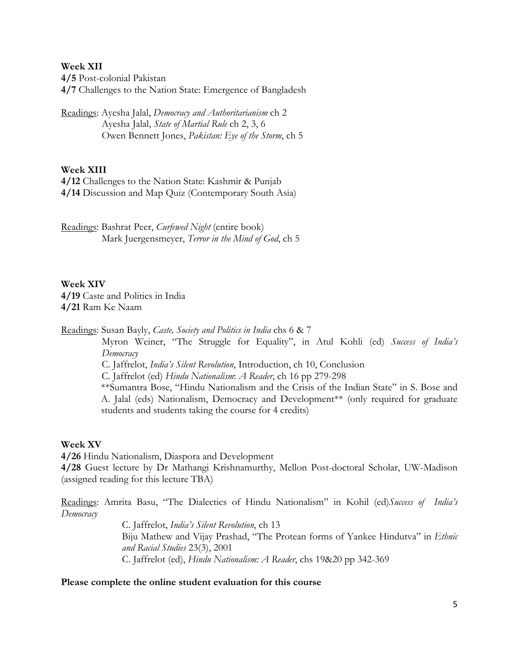**Week XII** 

**4/5** Post-colonial Pakistan

**4/7** Challenges to the Nation State: Emergence of Bangladesh

Readings: Ayesha Jalal, *Democracy and Authoritarianism* ch 2 Ayesha Jalal, *State of Martial Rule* ch 2, 3, 6 Owen Bennett Jones, *Pakistan: Eye of the Storm*, ch 5

## **Week XIII**

**4/12** Challenges to the Nation State: Kashmir & Punjab **4/14** Discussion and Map Quiz (Contemporary South Asia)

Readings: Bashrat Peer, *Curfewed Night* (entire book) Mark Juergensmeyer, *Terror in the Mind of God*, ch 5

**Week XIV 4/19** Caste and Politics in India **4/21** Ram Ke Naam

Readings: Susan Bayly, *Caste, Society and Politics in India* chs 6 & 7

Myron Weiner, "The Struggle for Equality", in Atul Kohli (ed) *Success of India's Democracy* 

C. Jaffrelot, *India's Silent Revolution*, Introduction, ch 10, Conclusion

C. Jaffrelot (ed) *Hindu Nationalism*: *A Reader*, ch 16 pp 279-298

\*\*Sumantra Bose, "Hindu Nationalism and the Crisis of the Indian State" in S. Bose and A. Jalal (eds) Nationalism, Democracy and Development\*\* (only required for graduate students and students taking the course for 4 credits)

#### **Week XV**

**4/26** Hindu Nationalism, Diaspora and Development **4/28** Guest lecture by Dr Mathangi Krishnamurthy, Mellon Post-doctoral Scholar, UW-Madison

(assigned reading for this lecture TBA)

Readings: Amrita Basu, "The Dialectics of Hindu Nationalism" in Kohil (ed)*Success of India's Democracy* 

C. Jaffrelot, *India's Silent Revolution*, ch 13 Biju Mathew and Vijay Prashad, "The Protean forms of Yankee Hindutva" in *Ethnic and Racial Studies* 23(3), 2001 C. Jaffrelot (ed), *Hindu Nationalism: A Reader*, chs 19&20 pp 342-369

# **Please complete the online student evaluation for this course**